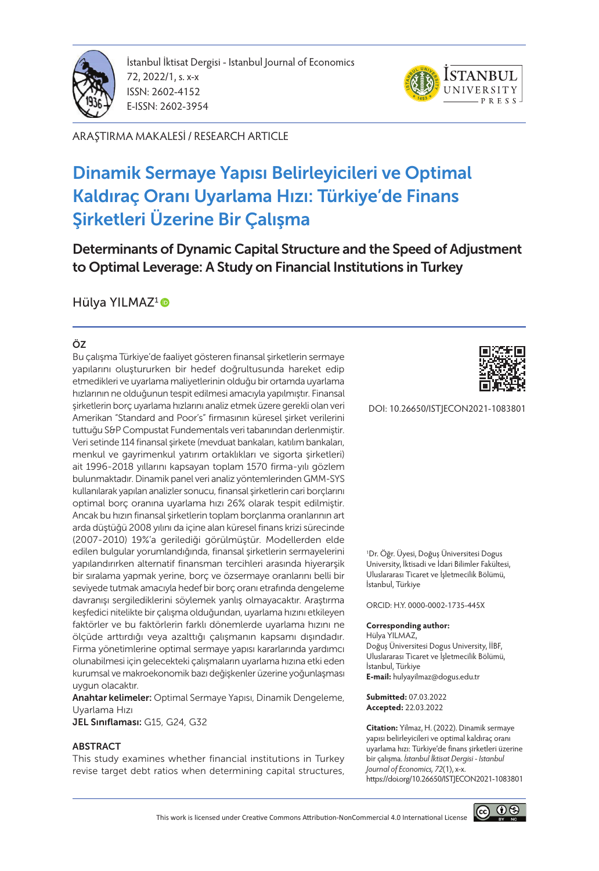

İstanbul İktisat Dergisi - Istanbul Journal of Economics 72, 2022/1, s. x-x ISSN: 2602-4152 E-ISSN: 2602-3954



#### ARAŞTIRMA MAKALESİ / RESEARCH ARTICLE

# Dinamik Sermaye Yapısı Belirleyicileri ve Optimal Kaldıraç Oranı Uyarlama Hızı: Türkiye'de Finans Şirketleri Üzerine Bir Çalışma

Determinants of Dynamic Capital Structure and the Speed of Adjustment to Optimal Leverage: A Study on Financial Institutions in Turkey

Hülya YILMAZ<sup>1</sup>®

#### ÖZ

Bu çalışma Türkiye'de faaliyet gösteren finansal şirketlerin sermaye yapılarını oluştururken bir hedef doğrultusunda hareket edip etmedikleri ve uyarlama maliyetlerinin olduğu bir ortamda uyarlama hızlarının ne olduğunun tespit edilmesi amacıyla yapılmıştır. Finansal şirketlerin borç uyarlama hızlarını analiz etmek üzere gerekli olan veri Amerikan "Standard and Poor's" firmasının küresel şirket verilerini tuttuğu S&P Compustat Fundementals veri tabanından derlenmiştir. Veri setinde 114 finansal şirkete (mevduat bankaları, katılım bankaları, menkul ve gayrimenkul yatırım ortaklıkları ve sigorta şirketleri) ait 1996-2018 yıllarını kapsayan toplam 1570 firma-yılı gözlem bulunmaktadır. Dinamik panel veri analiz yöntemlerinden GMM-SYS kullanılarak yapılan analizler sonucu, finansal şirketlerin cari borçlarını optimal borç oranına uyarlama hızı 26% olarak tespit edilmiştir. Ancak bu hızın finansal şirketlerin toplam borçlanma oranlarının art arda düştüğü 2008 yılını da içine alan küresel finans krizi sürecinde (2007-2010) 19%'a gerilediği görülmüştür. Modellerden elde edilen bulgular yorumlandığında, finansal şirketlerin sermayelerini yapılandırırken alternatif finansman tercihleri arasında hiyerarşik bir sıralama yapmak yerine, borç ve özsermaye oranlarını belli bir seviyede tutmak amacıyla hedef bir borç oranı etrafında dengeleme davranışı sergilediklerini söylemek yanlış olmayacaktır. Araştırma keşfedici nitelikte bir çalışma olduğundan, uyarlama hızını etkileyen faktörler ve bu faktörlerin farklı dönemlerde uyarlama hızını ne ölçüde arttırdığı veya azalttığı çalışmanın kapsamı dışındadır. Firma yönetimlerine optimal sermaye yapısı kararlarında yardımcı olunabilmesi için gelecekteki çalışmaların uyarlama hızına etki eden kurumsal ve makroekonomik bazı değişkenler üzerine yoğunlaşması uygun olacaktır.

Anahtar kelimeler: Optimal Sermaye Yapısı, Dinamik Dengeleme, Uyarlama Hızı

JEL Sınıflaması: G15, G24, G32

#### ABSTRACT

This study examines whether financial institutions in Turkey revise target debt ratios when determining capital structures,



DOI: 10.26650/ISTJECON2021-1083801

1 Dr. Öğr. Üyesi, Doğuş Üniversitesi Dogus University, İktisadi ve İdari Bilimler Fakültesi, Uluslararası Ticaret ve İşletmecilik Bölümü, İstanbul, Türkiye

ORCID: H.Y. 0000-0002-1735-445X

#### **Corresponding author:**

Hülya YILMAZ, Doğuş Üniversitesi Dogus University, İİBF, Uluslararası Ticaret ve İşletmecilik Bölümü, İstanbul, Türkiye **E-mail:** hulyayilmaz@dogus.edu.tr

**Submitted:** 07.03.2022 **Accepted:** 22.03.2022

**Citation:** Yilmaz, H. (2022). Dinamik sermaye yapısı belirleyicileri ve optimal kaldıraç oranı uyarlama hızı: Türkiye'de finans şirketleri üzerine bir çalışma. *İstanbul İktisat Dergisi - Istanbul Journal of Economics, 72*(1), x-x. https://doi.org/10.26650/ISTJECON2021-1083801

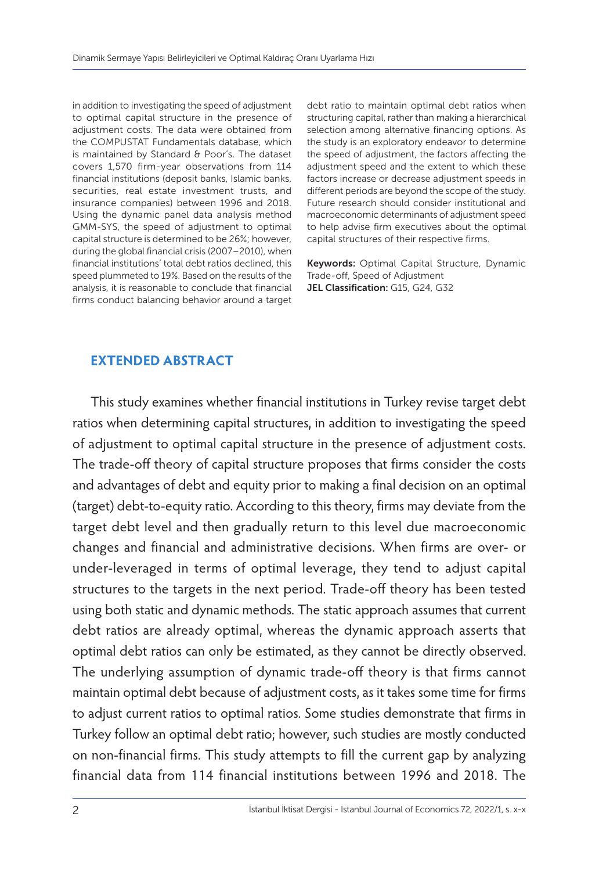in addition to investigating the speed of adjustment to optimal capital structure in the presence of adjustment costs. The data were obtained from the COMPUSTAT Fundamentals database, which is maintained by Standard & Poor's. The dataset covers 1,570 firm-year observations from 114 financial institutions (deposit banks, Islamic banks, securities, real estate investment trusts, and insurance companies) between 1996 and 2018. Using the dynamic panel data analysis method GMM-SYS, the speed of adjustment to optimal capital structure is determined to be 26%; however, during the global financial crisis (2007–2010), when financial institutions' total debt ratios declined, this speed plummeted to 19%. Based on the results of the analysis, it is reasonable to conclude that financial firms conduct balancing behavior around a target

debt ratio to maintain optimal debt ratios when structuring capital, rather than making a hierarchical selection among alternative financing options. As the study is an exploratory endeavor to determine the speed of adjustment, the factors affecting the adjustment speed and the extent to which these factors increase or decrease adjustment speeds in different periods are beyond the scope of the study. Future research should consider institutional and macroeconomic determinants of adjustment speed to help advise firm executives about the optimal capital structures of their respective firms.

Keywords: Optimal Capital Structure, Dynamic Trade-off, Speed of Adjustment JEL Classification: G15, G24, G32

### **EXTENDED ABSTRACT**

This study examines whether financial institutions in Turkey revise target debt ratios when determining capital structures, in addition to investigating the speed of adjustment to optimal capital structure in the presence of adjustment costs. The trade-off theory of capital structure proposes that firms consider the costs and advantages of debt and equity prior to making a final decision on an optimal (target) debt-to-equity ratio. According to this theory, firms may deviate from the target debt level and then gradually return to this level due macroeconomic changes and financial and administrative decisions. When firms are over- or under-leveraged in terms of optimal leverage, they tend to adjust capital structures to the targets in the next period. Trade-off theory has been tested using both static and dynamic methods. The static approach assumes that current debt ratios are already optimal, whereas the dynamic approach asserts that optimal debt ratios can only be estimated, as they cannot be directly observed. The underlying assumption of dynamic trade-off theory is that firms cannot maintain optimal debt because of adjustment costs, as it takes some time for firms to adjust current ratios to optimal ratios. Some studies demonstrate that firms in Turkey follow an optimal debt ratio; however, such studies are mostly conducted on non-financial firms. This study attempts to fill the current gap by analyzing financial data from 114 financial institutions between 1996 and 2018. The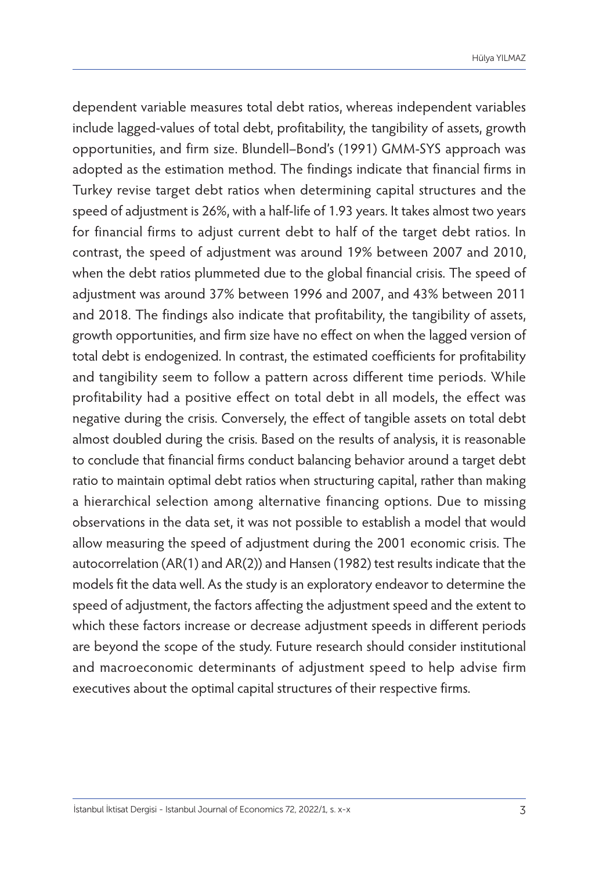dependent variable measures total debt ratios, whereas independent variables include lagged-values of total debt, profitability, the tangibility of assets, growth opportunities, and firm size. Blundell–Bond's (1991) GMM-SYS approach was adopted as the estimation method. The findings indicate that financial firms in Turkey revise target debt ratios when determining capital structures and the speed of adjustment is 26%, with a half-life of 1.93 years. It takes almost two years for financial firms to adjust current debt to half of the target debt ratios. In contrast, the speed of adjustment was around 19% between 2007 and 2010, when the debt ratios plummeted due to the global financial crisis. The speed of adjustment was around 37% between 1996 and 2007, and 43% between 2011 and 2018. The findings also indicate that profitability, the tangibility of assets, growth opportunities, and firm size have no effect on when the lagged version of total debt is endogenized. In contrast, the estimated coefficients for profitability and tangibility seem to follow a pattern across different time periods. While profitability had a positive effect on total debt in all models, the effect was negative during the crisis. Conversely, the effect of tangible assets on total debt almost doubled during the crisis. Based on the results of analysis, it is reasonable to conclude that financial firms conduct balancing behavior around a target debt ratio to maintain optimal debt ratios when structuring capital, rather than making a hierarchical selection among alternative financing options. Due to missing observations in the data set, it was not possible to establish a model that would allow measuring the speed of adjustment during the 2001 economic crisis. The autocorrelation (AR(1) and AR(2)) and Hansen (1982) test results indicate that the models fit the data well. As the study is an exploratory endeavor to determine the speed of adjustment, the factors affecting the adjustment speed and the extent to which these factors increase or decrease adjustment speeds in different periods are beyond the scope of the study. Future research should consider institutional and macroeconomic determinants of adjustment speed to help advise firm executives about the optimal capital structures of their respective firms.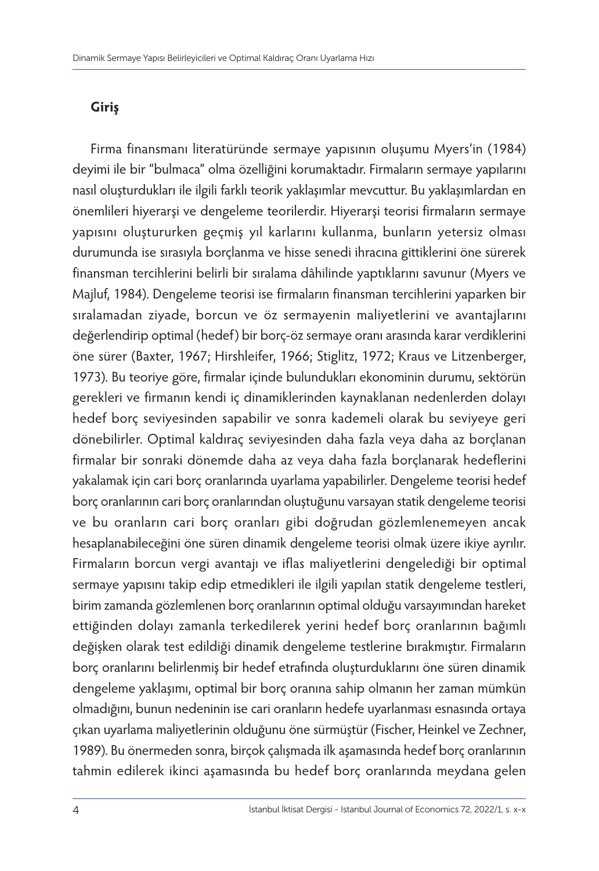# **Giriş**

Firma finansmanı literatüründe sermaye yapısının oluşumu Myers'in (1984) deyimi ile bir "bulmaca" olma özelliğini korumaktadır. Firmaların sermaye yapılarını nasıl oluşturdukları ile ilgili farklı teorik yaklaşımlar mevcuttur. Bu yaklaşımlardan en önemlileri hiyerarşi ve dengeleme teorilerdir. Hiyerarşi teorisi firmaların sermaye yapısını oluştururken geçmiş yıl karlarını kullanma, bunların yetersiz olması durumunda ise sırasıyla borçlanma ve hisse senedi ihracına gittiklerini öne sürerek finansman tercihlerini belirli bir sıralama dâhilinde yaptıklarını savunur (Myers ve Majluf, 1984). Dengeleme teorisi ise firmaların finansman tercihlerini yaparken bir sıralamadan ziyade, borcun ve öz sermayenin maliyetlerini ve avantajlarını değerlendirip optimal (hedef) bir borç-öz sermaye oranı arasında karar verdiklerini öne sürer (Baxter, 1967; Hirshleifer, 1966; Stiglitz, 1972; Kraus ve Litzenberger, 1973). Bu teoriye göre, firmalar içinde bulundukları ekonominin durumu, sektörün gerekleri ve firmanın kendi iç dinamiklerinden kaynaklanan nedenlerden dolayı hedef borç seviyesinden sapabilir ve sonra kademeli olarak bu seviyeye geri dönebilirler. Optimal kaldıraç seviyesinden daha fazla veya daha az borçlanan firmalar bir sonraki dönemde daha az veya daha fazla borçlanarak hedeflerini yakalamak için cari borç oranlarında uyarlama yapabilirler. Dengeleme teorisi hedef borç oranlarının cari borç oranlarından oluştuğunu varsayan statik dengeleme teorisi ve bu oranların cari borç oranları gibi doğrudan gözlemlenemeyen ancak hesaplanabileceğini öne süren dinamik dengeleme teorisi olmak üzere ikiye ayrılır. Firmaların borcun vergi avantajı ve iflas maliyetlerini dengelediği bir optimal sermaye yapısını takip edip etmedikleri ile ilgili yapılan statik dengeleme testleri, birim zamanda gözlemlenen borç oranlarının optimal olduğu varsayımından hareket ettiğinden dolayı zamanla terkedilerek yerini hedef borç oranlarının bağımlı değişken olarak test edildiği dinamik dengeleme testlerine bırakmıştır. Firmaların borç oranlarını belirlenmiş bir hedef etrafında oluşturduklarını öne süren dinamik dengeleme yaklaşımı, optimal bir borç oranına sahip olmanın her zaman mümkün olmadığını, bunun nedeninin ise cari oranların hedefe uyarlanması esnasında ortaya çıkan uyarlama maliyetlerinin olduğunu öne sürmüştür (Fischer, Heinkel ve Zechner, 1989). Bu önermeden sonra, birçok çalışmada ilk aşamasında hedef borç oranlarının tahmin edilerek ikinci aşamasında bu hedef borç oranlarında meydana gelen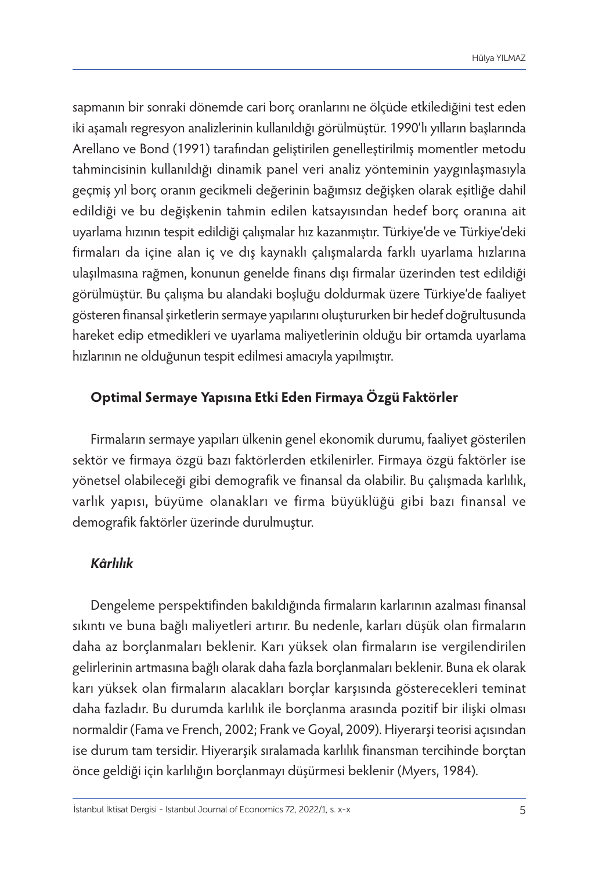sapmanın bir sonraki dönemde cari borç oranlarını ne ölçüde etkilediğini test eden iki aşamalı regresyon analizlerinin kullanıldığı görülmüştür. 1990'lı yılların başlarında Arellano ve Bond (1991) tarafından geliştirilen genelleştirilmiş momentler metodu tahmincisinin kullanıldığı dinamik panel veri analiz yönteminin yaygınlaşmasıyla geçmiş yıl borç oranın gecikmeli değerinin bağımsız değişken olarak eşitliğe dahil edildiği ve bu değişkenin tahmin edilen katsayısından hedef borç oranına ait uyarlama hızının tespit edildiği çalışmalar hız kazanmıştır. Türkiye'de ve Türkiye'deki firmaları da içine alan iç ve dış kaynaklı çalışmalarda farklı uyarlama hızlarına ulaşılmasına rağmen, konunun genelde finans dışı firmalar üzerinden test edildiği görülmüştür. Bu çalışma bu alandaki boşluğu doldurmak üzere Türkiye'de faaliyet gösteren finansal şirketlerin sermaye yapılarını oluştururken bir hedef doğrultusunda hareket edip etmedikleri ve uyarlama maliyetlerinin olduğu bir ortamda uyarlama hızlarının ne olduğunun tespit edilmesi amacıyla yapılmıştır.

# **Optimal Sermaye Yapısına Etki Eden Firmaya Özgü Faktörler**

Firmaların sermaye yapıları ülkenin genel ekonomik durumu, faaliyet gösterilen sektör ve firmaya özgü bazı faktörlerden etkilenirler. Firmaya özgü faktörler ise yönetsel olabileceği gibi demografik ve finansal da olabilir. Bu çalışmada karlılık, varlık yapısı, büyüme olanakları ve firma büyüklüğü gibi bazı finansal ve demografik faktörler üzerinde durulmuştur.

# *Kârlılık*

Dengeleme perspektifinden bakıldığında firmaların karlarının azalması finansal sıkıntı ve buna bağlı maliyetleri artırır. Bu nedenle, karları düşük olan firmaların daha az borçlanmaları beklenir. Karı yüksek olan firmaların ise vergilendirilen gelirlerinin artmasına bağlı olarak daha fazla borçlanmaları beklenir. Buna ek olarak karı yüksek olan firmaların alacakları borçlar karşısında gösterecekleri teminat daha fazladır. Bu durumda karlılık ile borçlanma arasında pozitif bir ilişki olması normaldir (Fama ve French, 2002; Frank ve Goyal, 2009). Hiyerarşi teorisi açısından ise durum tam tersidir. Hiyerarşik sıralamada karlılık finansman tercihinde borçtan önce geldiği için karlılığın borçlanmayı düşürmesi beklenir (Myers, 1984).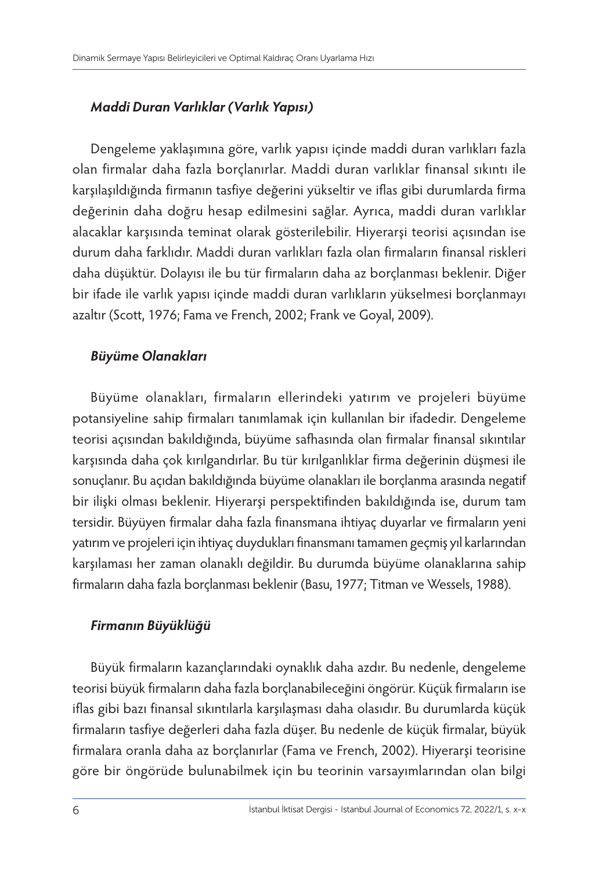# *Maddi Duran Varlıklar (Varlık Yapısı)*

Dengeleme yaklaşımına göre, varlık yapısı içinde maddi duran varlıkları fazla olan firmalar daha fazla borçlanırlar. Maddi duran varlıklar finansal sıkıntı ile karşılaşıldığında firmanın tasfiye değerini yükseltir ve iflas gibi durumlarda firma değerinin daha doğru hesap edilmesini sağlar. Ayrıca, maddi duran varlıklar alacaklar karşısında teminat olarak gösterilebilir. Hiyerarşi teorisi açısından ise durum daha farklıdır. Maddi duran varlıkları fazla olan firmaların finansal riskleri daha düşüktür. Dolayısı ile bu tür firmaların daha az borçlanması beklenir. Diğer bir ifade ile varlık yapısı içinde maddi duran varlıkların yükselmesi borçlanmayı azaltır (Scott, 1976; Fama ve French, 2002; Frank ve Goyal, 2009).

# *Büyüme Olanakları*

Büyüme olanakları, firmaların ellerindeki yatırım ve projeleri büyüme potansiyeline sahip firmaları tanımlamak için kullanılan bir ifadedir. Dengeleme teorisi açısından bakıldığında, büyüme safhasında olan firmalar finansal sıkıntılar karşısında daha çok kırılgandırlar. Bu tür kırılganlıklar firma değerinin düşmesi ile sonuçlanır. Bu açıdan bakıldığında büyüme olanakları ile borçlanma arasında negatif bir ilişki olması beklenir. Hiyerarşi perspektifinden bakıldığında ise, durum tam tersidir. Büyüyen firmalar daha fazla finansmana ihtiyaç duyarlar ve firmaların yeni yatırım ve projeleri için ihtiyaç duydukları finansmanı tamamen geçmiş yıl karlarından karşılaması her zaman olanaklı değildir. Bu durumda büyüme olanaklarına sahip firmaların daha fazla borçlanması beklenir (Basu, 1977; Titman ve Wessels, 1988).

# *Firmanın Büyüklüğü*

Büyük firmaların kazançlarındaki oynaklık daha azdır. Bu nedenle, dengeleme teorisi büyük firmaların daha fazla borçlanabileceğini öngörür. Küçük firmaların ise iflas gibi bazı finansal sıkıntılarla karşılaşması daha olasıdır. Bu durumlarda küçük firmaların tasfiye değerleri daha fazla düşer. Bu nedenle de küçük firmalar, büyük firmalara oranla daha az borçlanırlar (Fama ve French, 2002). Hiyerarşi teorisine göre bir öngörüde bulunabilmek için bu teorinin varsayımlarından olan bilgi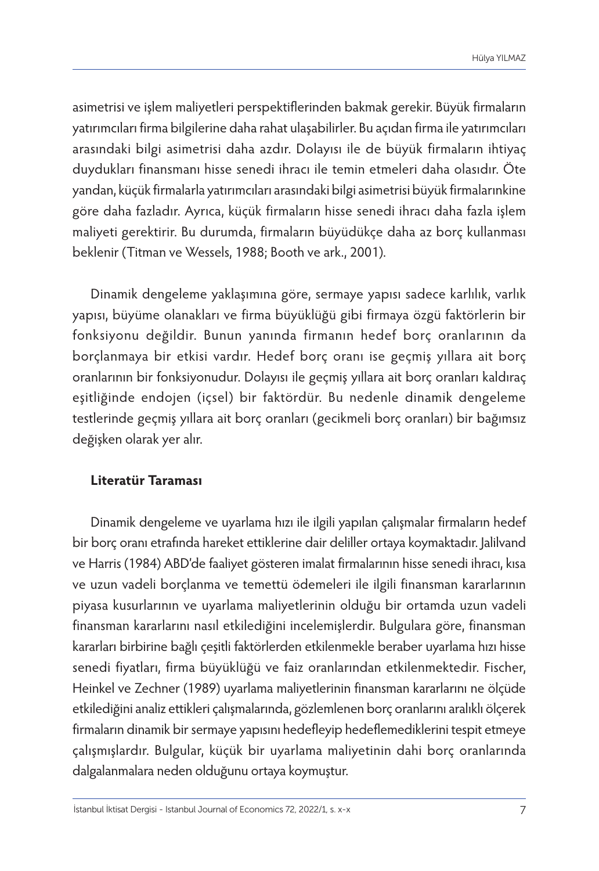asimetrisi ve işlem maliyetleri perspektiflerinden bakmak gerekir. Büyük firmaların yatırımcıları firma bilgilerine daha rahat ulaşabilirler. Bu açıdan firma ile yatırımcıları arasındaki bilgi asimetrisi daha azdır. Dolayısı ile de büyük firmaların ihtiyaç duydukları finansmanı hisse senedi ihracı ile temin etmeleri daha olasıdır. Öte yandan, küçük firmalarla yatırımcıları arasındaki bilgi asimetrisi büyük firmalarınkine göre daha fazladır. Ayrıca, küçük firmaların hisse senedi ihracı daha fazla işlem maliyeti gerektirir. Bu durumda, firmaların büyüdükçe daha az borç kullanması beklenir (Titman ve Wessels, 1988; Booth ve ark., 2001).

Dinamik dengeleme yaklaşımına göre, sermaye yapısı sadece karlılık, varlık yapısı, büyüme olanakları ve firma büyüklüğü gibi firmaya özgü faktörlerin bir fonksiyonu değildir. Bunun yanında firmanın hedef borç oranlarının da borçlanmaya bir etkisi vardır. Hedef borç oranı ise geçmiş yıllara ait borç oranlarının bir fonksiyonudur. Dolayısı ile geçmiş yıllara ait borç oranları kaldıraç eşitliğinde endojen (içsel) bir faktördür. Bu nedenle dinamik dengeleme testlerinde geçmiş yıllara ait borç oranları (gecikmeli borç oranları) bir bağımsız değişken olarak yer alır.

### **Literatür Taraması**

Dinamik dengeleme ve uyarlama hızı ile ilgili yapılan çalışmalar firmaların hedef bir borç oranı etrafında hareket ettiklerine dair deliller ortaya koymaktadır. Jalilvand ve Harris (1984) ABD'de faaliyet gösteren imalat firmalarının hisse senedi ihracı, kısa ve uzun vadeli borçlanma ve temettü ödemeleri ile ilgili finansman kararlarının piyasa kusurlarının ve uyarlama maliyetlerinin olduğu bir ortamda uzun vadeli finansman kararlarını nasıl etkilediğini incelemişlerdir. Bulgulara göre, finansman kararları birbirine bağlı çeşitli faktörlerden etkilenmekle beraber uyarlama hızı hisse senedi fiyatları, firma büyüklüğü ve faiz oranlarından etkilenmektedir. Fischer, Heinkel ve Zechner (1989) uyarlama maliyetlerinin finansman kararlarını ne ölçüde etkilediğini analiz ettikleri çalışmalarında, gözlemlenen borç oranlarını aralıklı ölçerek firmaların dinamik bir sermaye yapısını hedefleyip hedeflemediklerini tespit etmeye çalışmışlardır. Bulgular, küçük bir uyarlama maliyetinin dahi borç oranlarında dalgalanmalara neden olduğunu ortaya koymuştur.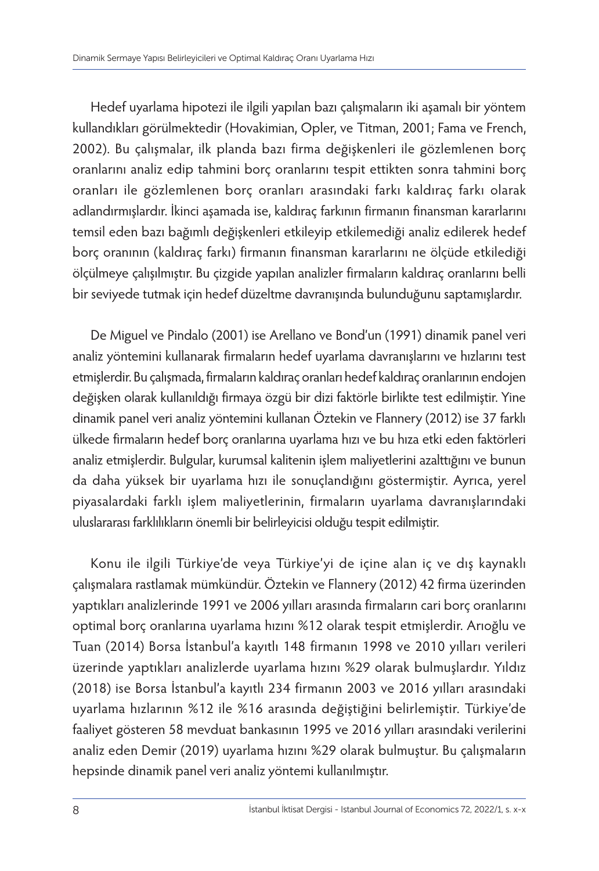Hedef uyarlama hipotezi ile ilgili yapılan bazı çalışmaların iki aşamalı bir yöntem kullandıkları görülmektedir (Hovakimian, Opler, ve Titman, 2001; Fama ve French, 2002). Bu çalışmalar, ilk planda bazı firma değişkenleri ile gözlemlenen borç oranlarını analiz edip tahmini borç oranlarını tespit ettikten sonra tahmini borç oranları ile gözlemlenen borç oranları arasındaki farkı kaldıraç farkı olarak adlandırmışlardır. İkinci aşamada ise, kaldıraç farkının firmanın finansman kararlarını temsil eden bazı bağımlı değişkenleri etkileyip etkilemediği analiz edilerek hedef borç oranının (kaldıraç farkı) firmanın finansman kararlarını ne ölçüde etkilediği ölçülmeye çalışılmıştır. Bu çizgide yapılan analizler firmaların kaldıraç oranlarını belli bir seviyede tutmak için hedef düzeltme davranışında bulunduğunu saptamışlardır.

De Miguel ve Pindalo (2001) ise Arellano ve Bond'un (1991) dinamik panel veri analiz yöntemini kullanarak firmaların hedef uyarlama davranışlarını ve hızlarını test etmişlerdir. Bu çalışmada, firmaların kaldıraç oranları hedef kaldıraç oranlarının endojen değişken olarak kullanıldığı firmaya özgü bir dizi faktörle birlikte test edilmiştir. Yine dinamik panel veri analiz yöntemini kullanan Öztekin ve Flannery (2012) ise 37 farklı ülkede firmaların hedef borç oranlarına uyarlama hızı ve bu hıza etki eden faktörleri analiz etmişlerdir. Bulgular, kurumsal kalitenin işlem maliyetlerini azalttığını ve bunun da daha yüksek bir uyarlama hızı ile sonuçlandığını göstermiştir. Ayrıca, yerel piyasalardaki farklı işlem maliyetlerinin, firmaların uyarlama davranışlarındaki uluslararası farklılıkların önemli bir belirleyicisi olduğu tespit edilmiştir.

Konu ile ilgili Türkiye'de veya Türkiye'yi de içine alan iç ve dış kaynaklı çalışmalara rastlamak mümkündür. Öztekin ve Flannery (2012) 42 firma üzerinden yaptıkları analizlerinde 1991 ve 2006 yılları arasında firmaların cari borç oranlarını optimal borç oranlarına uyarlama hızını %12 olarak tespit etmişlerdir. Arıoğlu ve Tuan (2014) Borsa İstanbul'a kayıtlı 148 firmanın 1998 ve 2010 yılları verileri üzerinde yaptıkları analizlerde uyarlama hızını %29 olarak bulmuşlardır. Yıldız (2018) ise Borsa İstanbul'a kayıtlı 234 firmanın 2003 ve 2016 yılları arasındaki uyarlama hızlarının %12 ile %16 arasında değiştiğini belirlemiştir. Türkiye'de faaliyet gösteren 58 mevduat bankasının 1995 ve 2016 yılları arasındaki verilerini analiz eden Demir (2019) uyarlama hızını %29 olarak bulmuştur. Bu çalışmaların hepsinde dinamik panel veri analiz yöntemi kullanılmıştır.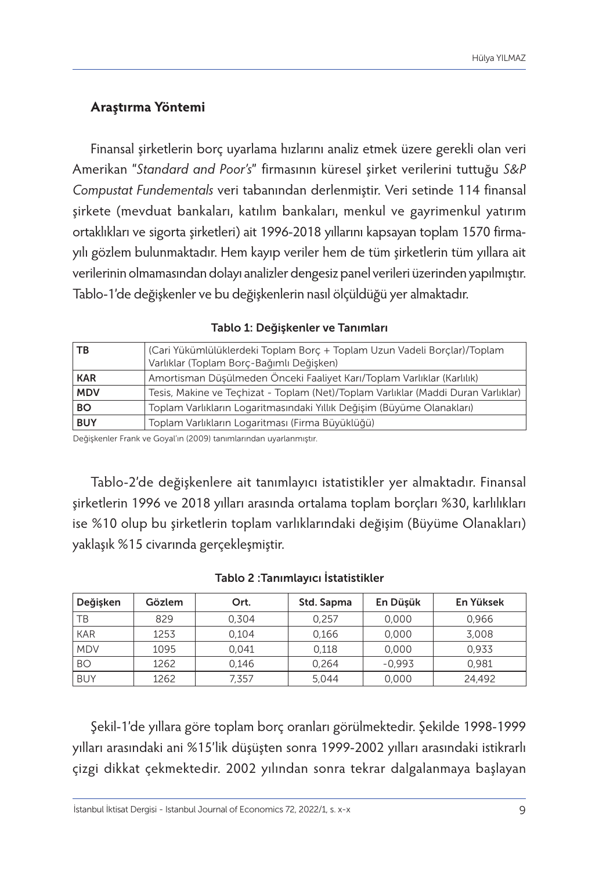# **Araştırma Yöntemi**

Finansal şirketlerin borç uyarlama hızlarını analiz etmek üzere gerekli olan veri Amerikan "*Standard and Poor's*" firmasının küresel şirket verilerini tuttuğu *S&P Compustat Fundementals* veri tabanından derlenmiştir. Veri setinde 114 finansal şirkete (mevduat bankaları, katılım bankaları, menkul ve gayrimenkul yatırım ortaklıkları ve sigorta şirketleri) ait 1996-2018 yıllarını kapsayan toplam 1570 firmayılı gözlem bulunmaktadır. Hem kayıp veriler hem de tüm şirketlerin tüm yıllara ait verilerinin olmamasından dolayı analizler dengesiz panel verileri üzerinden yapılmıştır. Tablo-1'de değişkenler ve bu değişkenlerin nasıl ölçüldüğü yer almaktadır.

| (Cari Yükümlülüklerdeki Toplam Borç + Toplam Uzun Vadeli Borçlar)/Toplam          |  |  |  |
|-----------------------------------------------------------------------------------|--|--|--|
| Varlıklar (Toplam Borç-Bağımlı Değişken)                                          |  |  |  |
| Amortisman Düşülmeden Önceki Faaliyet Karı/Toplam Varlıklar (Karlılık)            |  |  |  |
| Tesis, Makine ve Teçhizat - Toplam (Net)/Toplam Varlıklar (Maddi Duran Varlıklar) |  |  |  |
| Toplam Varlıkların Logaritmasındaki Yıllık Değisim (Büyüme Olanakları)            |  |  |  |
| Toplam Varlıkların Logaritması (Firma Büyüklüğü)                                  |  |  |  |
|                                                                                   |  |  |  |

|  |  | Tablo 1: Değişkenler ve Tanımları |  |  |
|--|--|-----------------------------------|--|--|
|--|--|-----------------------------------|--|--|

Değişkenler Frank ve Goyal'ın (2009) tanımlarından uyarlanmıştır.

Tablo-2'de değişkenlere ait tanımlayıcı istatistikler yer almaktadır. Finansal şirketlerin 1996 ve 2018 yılları arasında ortalama toplam borçları %30, karlılıkları ise %10 olup bu şirketlerin toplam varlıklarındaki değişim (Büyüme Olanakları) yaklaşık %15 civarında gerçekleşmiştir.

| Değişken   | Gözlem | Ort.  | Std. Sapma | En Düşük | En Yüksek |
|------------|--------|-------|------------|----------|-----------|
| ТB         | 829    | 0.304 | 0.257      | 0.000    | 0.966     |
| <b>KAR</b> | 1253   | 0.104 | 0.166      | 0.000    | 3.008     |
| <b>MDV</b> | 1095   | 0.041 | 0.118      | 0.000    | 0.933     |
| <b>BO</b>  | 1262   | 0.146 | 0.264      | $-0.993$ | 0.981     |
| <b>BUY</b> | 1262   | 7.357 | 5.044      | 0.000    | 24.492    |

|  |  | Tablo 2: Tanımlayıcı İstatistikler |  |
|--|--|------------------------------------|--|
|--|--|------------------------------------|--|

Şekil-1'de yıllara göre toplam borç oranları görülmektedir. Şekilde 1998-1999 yılları arasındaki ani %15'lik düşüşten sonra 1999-2002 yılları arasındaki istikrarlı çizgi dikkat çekmektedir. 2002 yılından sonra tekrar dalgalanmaya başlayan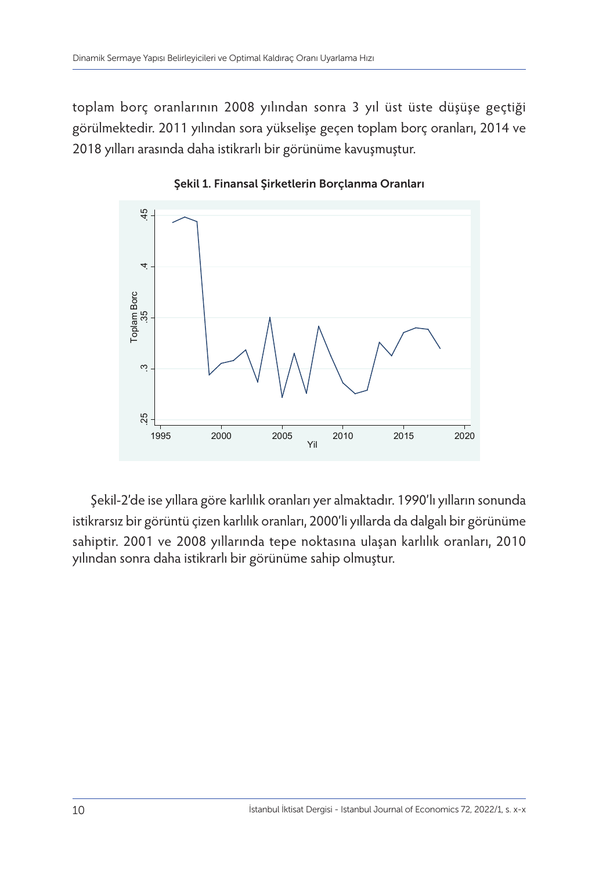toplam borç oranlarının 2008 yılından sonra 3 yıl üst üste düşüşe geçtiği görülmektedir. 2011 yılından sora yükselişe geçen toplam borç oranları, 2014 ve 2018 yılları arasında daha istikrarlı bir görünüme kavuşmuştur.





Şekil-2'de ise yıllara göre karlılık oranları yer almaktadır. 1990'lı yılların sonunda istikrarsız bir görüntü çizen karlılık oranları, 2000'li yıllarda da dalgalı bir görünüme sahiptir. 2001 ve 2008 yıllarında tepe noktasına ulaşan karlılık oranları, 2010 yılından sonra daha istikrarlı bir görünüme sahip olmuştur.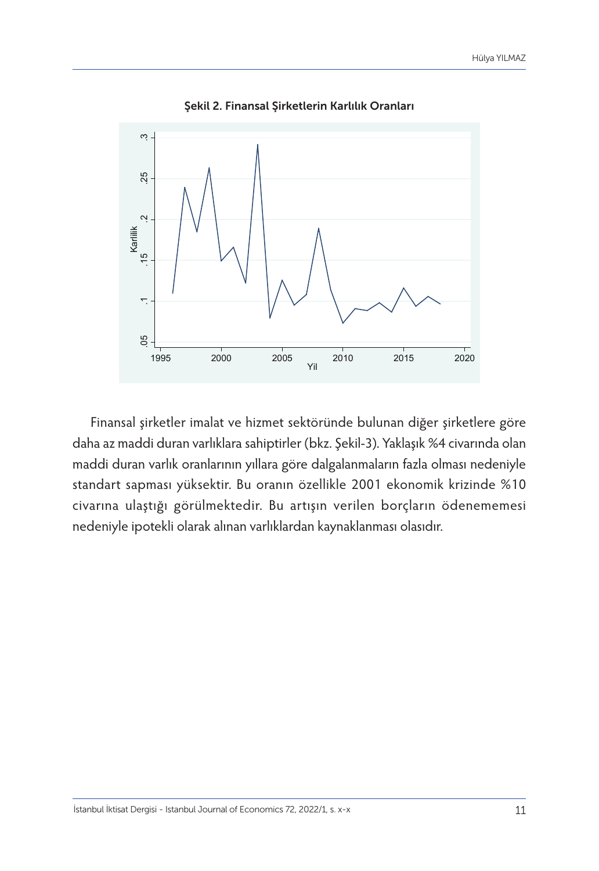

Şekil 2. Finansal Şirketlerin Karlılık Oranları

Finansal şirketler imalat ve hizmet sektöründe bulunan diğer şirketlere göre daha az maddi duran varlıklara sahiptirler (bkz. Şekil-3). Yaklaşık %4 civarında olan maddi duran varlık oranlarının yıllara göre dalgalanmaların fazla olması nedeniyle standart sapması yüksektir. Bu oranın özellikle 2001 ekonomik krizinde %10 civarına ulaştığı görülmektedir. Bu artışın verilen borçların ödenememesi nedeniyle ipotekli olarak alınan varlıklardan kaynaklanması olasıdır.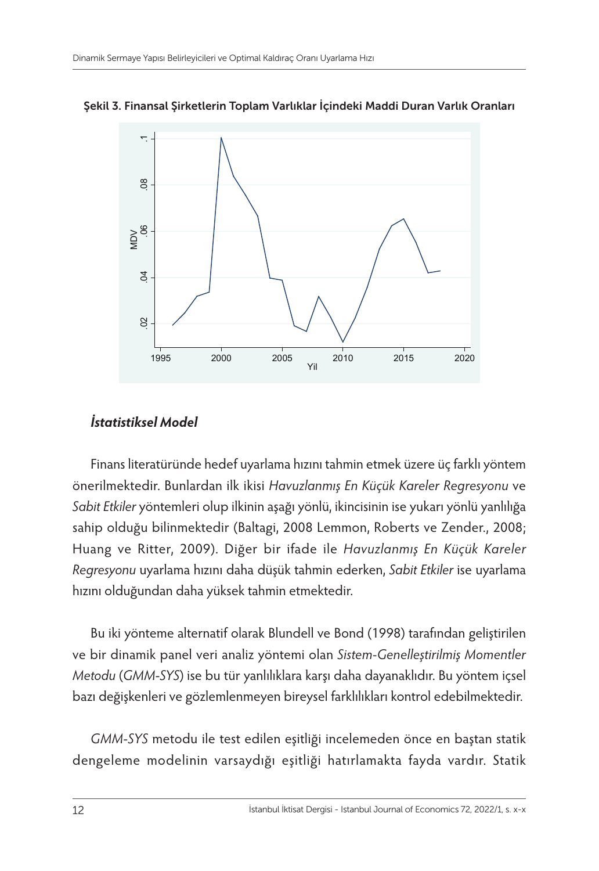

Şekil 3. Finansal Şirketlerin Toplam Varlıklar İçindeki Maddi Duran Varlık Oranları

# *İstatistiksel Model*

Finans literatüründe hedef uyarlama hızını tahmin etmek üzere üç farklı yöntem önerilmektedir. Bunlardan ilk ikisi *Havuzlanmış En Küçük Kareler Regresyonu* ve *Sabit Etkiler* yöntemleri olup ilkinin aşağı yönlü, ikincisinin ise yukarı yönlü yanlılığa sahip olduğu bilinmektedir (Baltagi, 2008 Lemmon, Roberts ve Zender., 2008; Huang ve Ritter, 2009). Diğer bir ifade ile *Havuzlanmış En Küçük Kareler Regresyonu* uyarlama hızını daha düşük tahmin ederken, *Sabit Etkiler* ise uyarlama hızını olduğundan daha yüksek tahmin etmektedir.

Bu iki yönteme alternatif olarak Blundell ve Bond (1998) tarafından geliştirilen ve bir dinamik panel veri analiz yöntemi olan *Sistem-Genelleştirilmiş Momentler Metodu* (*GMM*-*SYS*) ise bu tür yanlılıklara karşı daha dayanaklıdır. Bu yöntem içsel bazı değişkenleri ve gözlemlenmeyen bireysel farklılıkları kontrol edebilmektedir.

*GMM*-*SYS* metodu ile test edilen eşitliği incelemeden önce en baştan statik dengeleme modelinin varsaydığı eşitliği hatırlamakta fayda vardır. Statik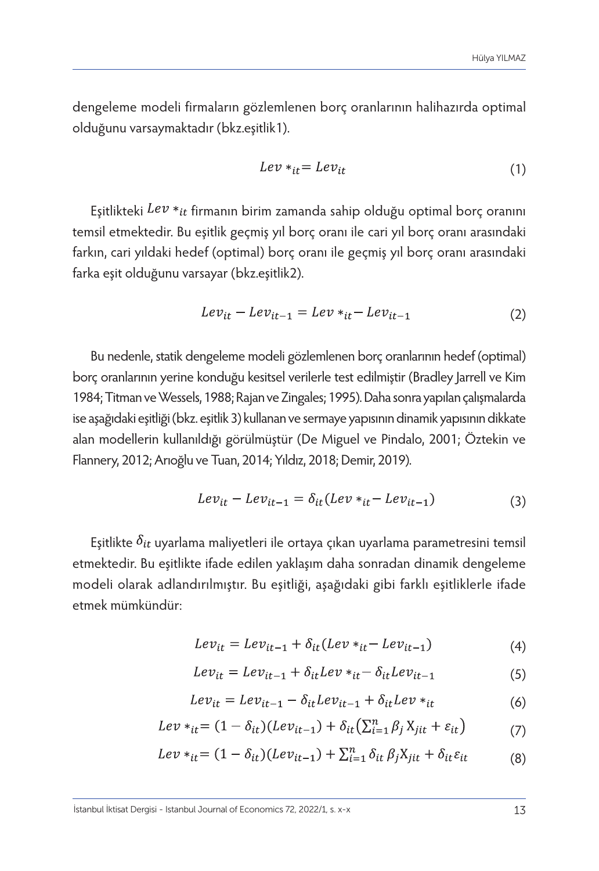dengeleme modeli firmaların gözlemlenen borç oranlarının halihazırda optimal olduğunu varsaymaktadır (bkz.eşitlik1).

$$
Lev *_{it} = Lev_{it}
$$
 (1)

Eşitlikteki  $Lev *_{it}$  firmanın birim zamanda sahip olduğu optimal borç oranını temsil etmektedir. Bu eşitlik geçmiş yıl borç oranı ile cari yıl borç oranı arasındaki farkın, cari yıldaki hedef (optimal) borç oranı ile geçmiş yıl borç oranı arasındaki farka eşit olduğunu varsayar (bkz.eşitlik2).

$$
Lev_{it} - Lev_{it-1} = Lev *_{it} - Lev_{it-1}
$$
 (2)

Bu nedenle, statik dengeleme modeli gözlemlenen borç oranlarının hedef (optimal) borç oranlarının yerine konduğu kesitsel verilerle test edilmiştir (Bradley Jarrell ve Kim 1984; Titman ve Wessels, 1988; Rajan ve Zingales; 1995). Daha sonra yapılan çalışmalarda ise aşağıdaki eşitliği (bkz. eşitlik 3) kullanan ve sermaye yapısının dinamik yapısının dikkate alan modellerin kullanıldığı görülmüştür (De Miguel ve Pindalo, 2001; Öztekin ve Flannery, 2012; Arıoğlu ve Tuan, 2014; Yıldız, 2018; Demir, 2019).

$$
Lev_{it} - Lev_{it-1} = \delta_{it}(Lev *_{it} - Lev_{it-1})
$$
\n(3)

Eşitlikte  $\delta_{it}$  uyarlama maliyetleri ile ortaya çıkan uyarlama parametresini temsil etmektedir. Bu eşitlikte ifade edilen yaklaşım daha sonradan dinamik dengeleme modeli olarak adlandırılmıştır. Bu eşitliği, aşağıdaki gibi farklı eşitliklerle ifade etmek mümkündür:

$$
Lev_{it} = Lev_{it-1} + \delta_{it}(Lev *_{it} - Lev_{it-1})
$$
\n(4)

$$
Lev_{it} = Lev_{it-1} + \delta_{it} Lev *_{it} - \delta_{it} Lev_{it-1}
$$
 (5)

$$
Lev_{it} = Lev_{it-1} - \delta_{it}Lev_{it-1} + \delta_{it}Lev *_{it}
$$
 (6)

$$
Lev *_{it} = (1 - \delta_{it})(Lev_{it-1}) + \delta_{it}(\sum_{i=1}^{n} \beta_j X_{jit} + \varepsilon_{it})
$$
 (7)

$$
Lev *_{it} = (1 - \delta_{it})(Lev_{it-1}) + \sum_{i=1}^{n} \delta_{it} \beta_j X_{jit} + \delta_{it} \varepsilon_{it}
$$
 (8)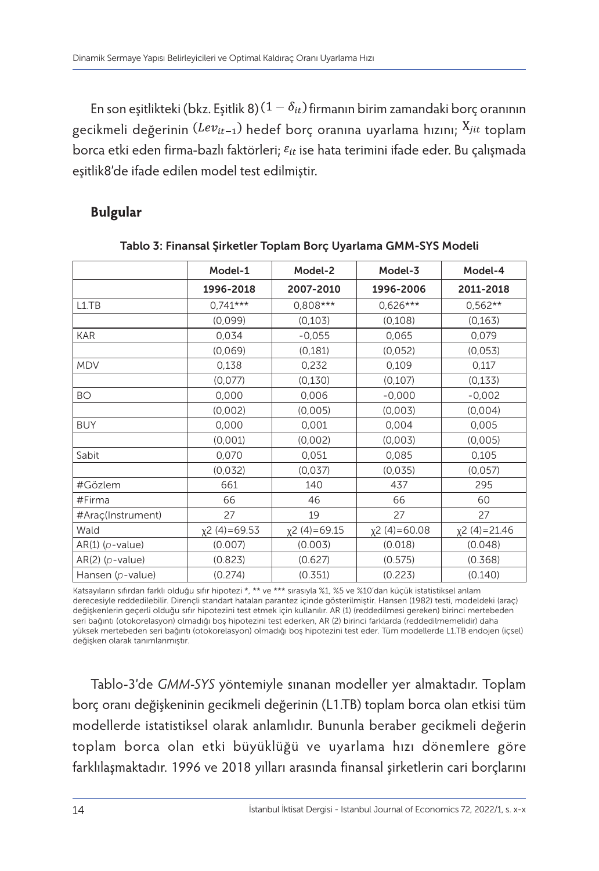En son esitlikteki (bkz. Esitlik 8)  $(1 - \delta_{it})$  firmanın birim zamandaki borç oranının gecikmeli değerinin  $(Lev_{it-1})$  hedef borç oranına uyarlama hızını;  $X_{jit}$  toplam borca etki eden firma-bazlı faktörleri:  $\varepsilon_{it}$  ise hata terimini ifade eder. Bu calısmada eşitlik8'de ifade edilen model test edilmiştir.

# **Bulgular**

|                       | Model-1         | Model-2         | Model-3         | Model-4         |
|-----------------------|-----------------|-----------------|-----------------|-----------------|
|                       | 1996-2018       | 2007-2010       | 1996-2006       | 2011-2018       |
| L1.TB                 | $0,741***$      | $0.808***$      | $0.626***$      | $0.562**$       |
|                       | (0,099)         | (0, 103)        | (0,108)         | (0.163)         |
| <b>KAR</b>            | 0,034           | $-0,055$        | 0,065           | 0,079           |
|                       | (0,069)         | (0, 181)        | (0,052)         | (0.053)         |
| <b>MDV</b>            | 0,138           | 0,232           | 0,109           | 0,117           |
|                       | (0,077)         | (0, 130)        | (0,107)         | (0.133)         |
| <b>BO</b>             | 0,000           | 0,006           | $-0,000$        | $-0,002$        |
|                       | (0,002)         | (0,005)         | (0,003)         | (0,004)         |
| <b>BUY</b>            | 0,000           | 0,001           | 0,004           | 0,005           |
|                       | (0,001)         | (0,002)         | (0,003)         | (0,005)         |
| Sabit                 | 0,070           | 0,051           | 0,085           | 0,105           |
|                       | (0,032)         | (0,037)         | (0,035)         | (0,057)         |
| #Gözlem               | 661             | 140             | 437             | 295             |
| #Firma                | 66              | 46              | 66              | 60              |
| #Araç(Instrument)     | 27              | 19              | 27              | 27              |
| Wald                  | $x^2$ (4)=69.53 | $x^2$ (4)=69.15 | $x^2$ (4)=60.08 | $x^2$ (4)=21.46 |
| $AR(1)$ ( $p$ -value) | (0.007)         | (0.003)         | (0.018)         | (0.048)         |
| $AR(2)$ ( $p$ -value) | (0.823)         | (0.627)         | (0.575)         | (0.368)         |
| Hansen (p-value)      | (0.274)         | (0.351)         | (0.223)         | (0.140)         |

Tablo 3: Finansal Şirketler Toplam Borç Uyarlama GMM-SYS Modeli

Katsayıların sıfırdan farklı olduğu sıfır hipotezi \*, \*\* ve \*\*\* sırasıyla %1, %5 ve %10'dan küçük istatistiksel anlam derecesiyle reddedilebilir. Dirençli standart hataları parantez içinde gösterilmiştir. Hansen (1982) testi, modeldeki (araç) değişkenlerin geçerli olduğu sıfır hipotezini test etmek için kullanılır. AR (1) (reddedilmesi gereken) birinci mertebeden seri bağıntı (otokorelasyon) olmadığı boş hipotezini test ederken, AR (2) birinci farklarda (reddedilmemelidir) daha yüksek mertebeden seri bağıntı (otokorelasyon) olmadığı boş hipotezini test eder. Tüm modellerde L1.TB endojen (içsel) değişken olarak tanımlanmıştır.

Tablo-3'de *GMM-SYS* yöntemiyle sınanan modeller yer almaktadır. Toplam borç oranı değişkeninin gecikmeli değerinin (L1.TB) toplam borca olan etkisi tüm modellerde istatistiksel olarak anlamlıdır. Bununla beraber gecikmeli değerin toplam borca olan etki büyüklüğü ve uyarlama hızı dönemlere göre farklılaşmaktadır. 1996 ve 2018 yılları arasında finansal şirketlerin cari borçlarını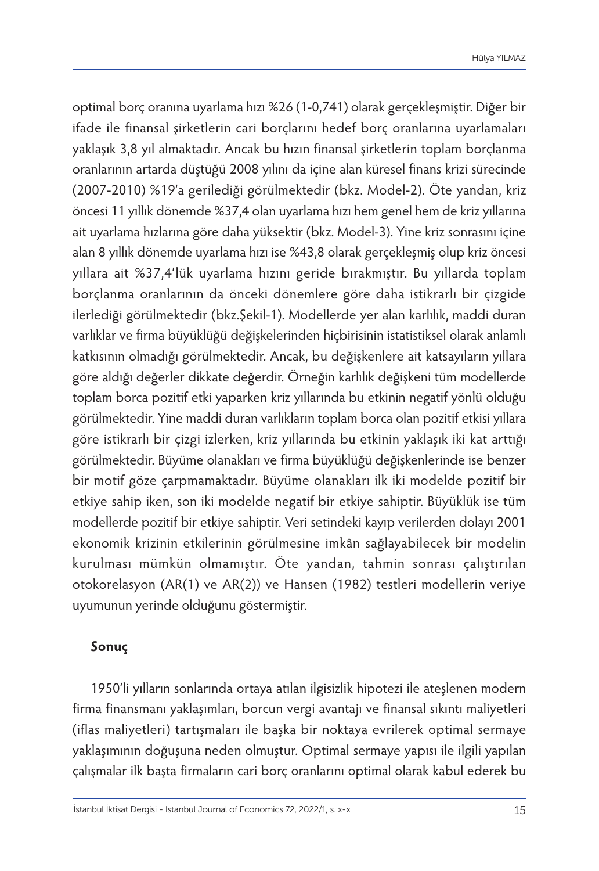optimal borç oranına uyarlama hızı %26 (1-0,741) olarak gerçekleşmiştir. Diğer bir ifade ile finansal şirketlerin cari borçlarını hedef borç oranlarına uyarlamaları yaklaşık 3,8 yıl almaktadır. Ancak bu hızın finansal şirketlerin toplam borçlanma oranlarının artarda düştüğü 2008 yılını da içine alan küresel finans krizi sürecinde (2007-2010) %19'a gerilediği görülmektedir (bkz. Model-2). Öte yandan, kriz öncesi 11 yıllık dönemde %37,4 olan uyarlama hızı hem genel hem de kriz yıllarına ait uyarlama hızlarına göre daha yüksektir (bkz. Model-3). Yine kriz sonrasını içine alan 8 yıllık dönemde uyarlama hızı ise %43,8 olarak gerçekleşmiş olup kriz öncesi yıllara ait %37,4'lük uyarlama hızını geride bırakmıştır. Bu yıllarda toplam borçlanma oranlarının da önceki dönemlere göre daha istikrarlı bir çizgide ilerlediği görülmektedir (bkz.Şekil-1). Modellerde yer alan karlılık, maddi duran varlıklar ve firma büyüklüğü değişkelerinden hiçbirisinin istatistiksel olarak anlamlı katkısının olmadığı görülmektedir. Ancak, bu değişkenlere ait katsayıların yıllara göre aldığı değerler dikkate değerdir. Örneğin karlılık değişkeni tüm modellerde toplam borca pozitif etki yaparken kriz yıllarında bu etkinin negatif yönlü olduğu görülmektedir. Yine maddi duran varlıkların toplam borca olan pozitif etkisi yıllara göre istikrarlı bir çizgi izlerken, kriz yıllarında bu etkinin yaklaşık iki kat arttığı görülmektedir. Büyüme olanakları ve firma büyüklüğü değişkenlerinde ise benzer bir motif göze çarpmamaktadır. Büyüme olanakları ilk iki modelde pozitif bir etkiye sahip iken, son iki modelde negatif bir etkiye sahiptir. Büyüklük ise tüm modellerde pozitif bir etkiye sahiptir. Veri setindeki kayıp verilerden dolayı 2001 ekonomik krizinin etkilerinin görülmesine imkân sağlayabilecek bir modelin kurulması mümkün olmamıştır. Öte yandan, tahmin sonrası çalıştırılan otokorelasyon (AR(1) ve AR(2)) ve Hansen (1982) testleri modellerin veriye uyumunun yerinde olduğunu göstermiştir.

### **Sonuç**

1950'li yılların sonlarında ortaya atılan ilgisizlik hipotezi ile ateşlenen modern firma finansmanı yaklaşımları, borcun vergi avantajı ve finansal sıkıntı maliyetleri (iflas maliyetleri) tartışmaları ile başka bir noktaya evrilerek optimal sermaye yaklaşımının doğuşuna neden olmuştur. Optimal sermaye yapısı ile ilgili yapılan çalışmalar ilk başta firmaların cari borç oranlarını optimal olarak kabul ederek bu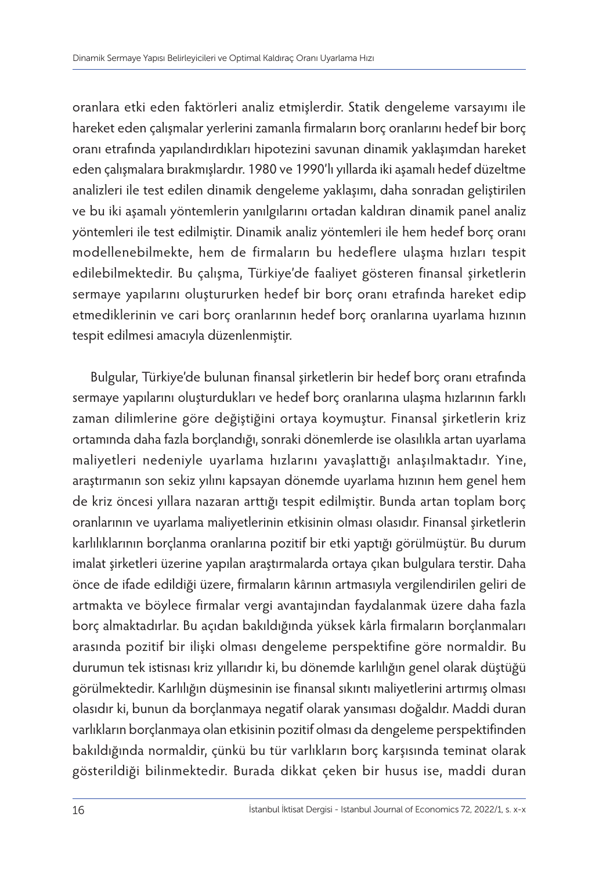oranlara etki eden faktörleri analiz etmişlerdir. Statik dengeleme varsayımı ile hareket eden çalışmalar yerlerini zamanla firmaların borç oranlarını hedef bir borç oranı etrafında yapılandırdıkları hipotezini savunan dinamik yaklaşımdan hareket eden çalışmalara bırakmışlardır. 1980 ve 1990'lı yıllarda iki aşamalı hedef düzeltme analizleri ile test edilen dinamik dengeleme yaklaşımı, daha sonradan geliştirilen ve bu iki aşamalı yöntemlerin yanılgılarını ortadan kaldıran dinamik panel analiz yöntemleri ile test edilmiştir. Dinamik analiz yöntemleri ile hem hedef borç oranı modellenebilmekte, hem de firmaların bu hedeflere ulaşma hızları tespit edilebilmektedir. Bu çalışma, Türkiye'de faaliyet gösteren finansal şirketlerin sermaye yapılarını oluştururken hedef bir borç oranı etrafında hareket edip etmediklerinin ve cari borç oranlarının hedef borç oranlarına uyarlama hızının tespit edilmesi amacıyla düzenlenmiştir.

Bulgular, Türkiye'de bulunan finansal şirketlerin bir hedef borç oranı etrafında sermaye yapılarını oluşturdukları ve hedef borç oranlarına ulaşma hızlarının farklı zaman dilimlerine göre değiştiğini ortaya koymuştur. Finansal şirketlerin kriz ortamında daha fazla borçlandığı, sonraki dönemlerde ise olasılıkla artan uyarlama maliyetleri nedeniyle uyarlama hızlarını yavaşlattığı anlaşılmaktadır. Yine, araştırmanın son sekiz yılını kapsayan dönemde uyarlama hızının hem genel hem de kriz öncesi yıllara nazaran arttığı tespit edilmiştir. Bunda artan toplam borç oranlarının ve uyarlama maliyetlerinin etkisinin olması olasıdır. Finansal şirketlerin karlılıklarının borçlanma oranlarına pozitif bir etki yaptığı görülmüştür. Bu durum imalat şirketleri üzerine yapılan araştırmalarda ortaya çıkan bulgulara terstir. Daha önce de ifade edildiği üzere, firmaların kârının artmasıyla vergilendirilen geliri de artmakta ve böylece firmalar vergi avantajından faydalanmak üzere daha fazla borç almaktadırlar. Bu açıdan bakıldığında yüksek kârla firmaların borçlanmaları arasında pozitif bir ilişki olması dengeleme perspektifine göre normaldir. Bu durumun tek istisnası kriz yıllarıdır ki, bu dönemde karlılığın genel olarak düştüğü görülmektedir. Karlılığın düşmesinin ise finansal sıkıntı maliyetlerini artırmış olması olasıdır ki, bunun da borçlanmaya negatif olarak yansıması doğaldır. Maddi duran varlıkların borçlanmaya olan etkisinin pozitif olması da dengeleme perspektifinden bakıldığında normaldir, çünkü bu tür varlıkların borç karşısında teminat olarak gösterildiği bilinmektedir. Burada dikkat çeken bir husus ise, maddi duran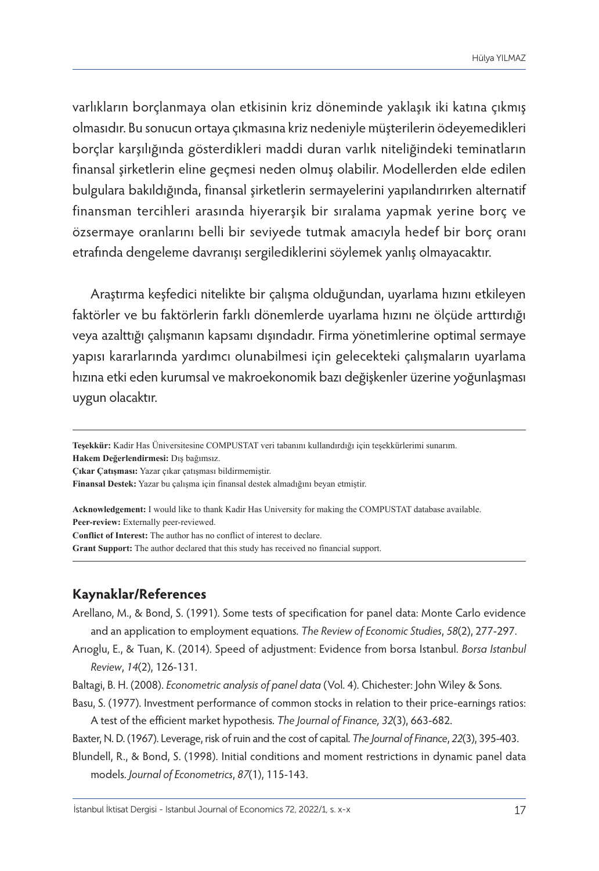varlıkların borçlanmaya olan etkisinin kriz döneminde yaklaşık iki katına çıkmış olmasıdır. Bu sonucun ortaya çıkmasına kriz nedeniyle müşterilerin ödeyemedikleri borçlar karşılığında gösterdikleri maddi duran varlık niteliğindeki teminatların finansal şirketlerin eline geçmesi neden olmuş olabilir. Modellerden elde edilen bulgulara bakıldığında, finansal şirketlerin sermayelerini yapılandırırken alternatif finansman tercihleri arasında hiyerarşik bir sıralama yapmak yerine borç ve özsermaye oranlarını belli bir seviyede tutmak amacıyla hedef bir borç oranı etrafında dengeleme davranışı sergilediklerini söylemek yanlış olmayacaktır.

Araştırma keşfedici nitelikte bir çalışma olduğundan, uyarlama hızını etkileyen faktörler ve bu faktörlerin farklı dönemlerde uyarlama hızını ne ölçüde arttırdığı veya azalttığı çalışmanın kapsamı dışındadır. Firma yönetimlerine optimal sermaye yapısı kararlarında yardımcı olunabilmesi için gelecekteki çalışmaların uyarlama hızına etki eden kurumsal ve makroekonomik bazı değişkenler üzerine yoğunlaşması uygun olacaktır.

**Teşekkür:** Kadir Has Üniversitesine COMPUSTAT veri tabanını kullandırdığı için teşekkürlerimi sunarım. **Hakem Değerlendirmesi:** Dış bağımsız.

**Çıkar Çatışması:** Yazar çıkar çatışması bildirmemiştir.

**Acknowledgement:** I would like to thank Kadir Has University for making the COMPUSTAT database available. **Peer-review:** Externally peer-reviewed.

**Conflict of Interest:** The author has no conflict of interest to declare.

**Grant Support:** The author declared that this study has received no financial support.

# **Kaynaklar/References**

Arellano, M., & Bond, S. (1991). Some tests of specification for panel data: Monte Carlo evidence and an application to employment equations. *The Review of Economic Studies*, *58*(2), 277-297.

Arıoglu, E., & Tuan, K. (2014). Speed of adjustment: Evidence from borsa Istanbul. *Borsa Istanbul Review*, *14*(2), 126-131.

Baltagi, B. H. (2008). *Econometric analysis of panel data* (Vol. 4). Chichester: John Wiley & Sons.

Basu, S. (1977). Investment performance of common stocks in relation to their price-earnings ratios: A test of the efficient market hypothesis. *The Journal of Finance, 32*(3), 663-682.

Baxter, N. D. (1967). Leverage, risk of ruin and the cost of capital. *The Journal of Finance*, *22*(3), 395-403.

Blundell, R., & Bond, S. (1998). Initial conditions and moment restrictions in dynamic panel data models. *Journal of Econometrics*, *87*(1), 115-143.

**Finansal Destek:** Yazar bu çalışma için finansal destek almadığını beyan etmiştir.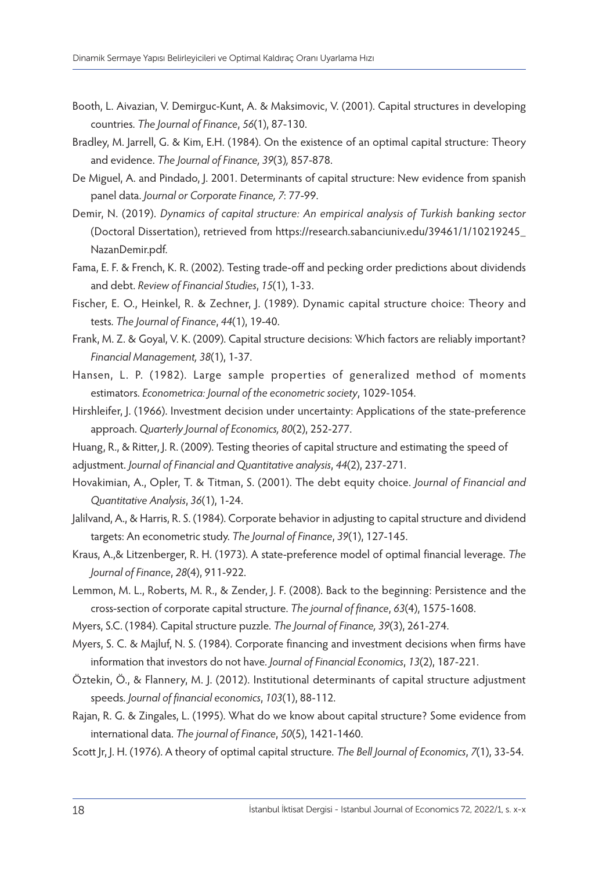- Booth, L. Aivazian, V. Demirguc‐Kunt, A. & Maksimovic, V. (2001). Capital structures in developing countries. *The Journal of Finance*, *56*(1), 87-130.
- Bradley, M. Jarrell, G. & Kim, E.H. (1984). On the existence of an optimal capital structure: Theory and evidence. *The Journal of Finance, 39*(3)*,* 857-878.
- De Miguel, A. and Pindado, J. 2001. Determinants of capital structure: New evidence from spanish panel data. *Journal or Corporate Finance, 7*: 77-99.
- Demir, N. (2019). *Dynamics of capital structure: An empirical analysis of Turkish banking sector* (Doctoral Dissertation), retrieved from https://research.sabanciuniv.edu/39461/1/10219245\_ NazanDemir.pdf.
- Fama, E. F. & French, K. R. (2002). Testing trade‐off and pecking order predictions about dividends and debt. *Review of Financial Studies*, *15*(1), 1-33.
- Fischer, E. O., Heinkel, R. & Zechner, J. (1989). Dynamic capital structure choice: Theory and tests. *The Journal of Finance*, *44*(1), 19-40.
- Frank, M. Z. & Goyal, V. K. (2009). Capital structure decisions: Which factors are reliably important? *Financial Management, 38*(1), 1-37.
- Hansen, L. P. (1982). Large sample properties of generalized method of moments estimators. *Econometrica: Journal of the econometric society*, 1029-1054.
- Hirshleifer, J. (1966). Investment decision under uncertainty: Applications of the state-preference approach. *Quarterly Journal of Economics, 80*(2), 252-277.
- Huang, R., & Ritter, J. R. (2009). Testing theories of capital structure and estimating the speed of adjustment. *Journal of Financial and Quantitative analysis*, *44*(2), 237-271.
- Hovakimian, A., Opler, T. & Titman, S. (2001). The debt equity choice. *Journal of Financial and Quantitative Analysis*, *36*(1), 1-24.
- Jalilvand, A., & Harris, R. S. (1984). Corporate behavior in adjusting to capital structure and dividend targets: An econometric study. *The Journal of Finance*, *39*(1), 127-145.
- Kraus, A.,& Litzenberger, R. H. (1973). A state‐preference model of optimal financial leverage. *The Journal of Finance*, *28*(4), 911-922.
- Lemmon, M. L., Roberts, M. R., & Zender, J. F. (2008). Back to the beginning: Persistence and the cross‐section of corporate capital structure. *The journal of finance*, *63*(4), 1575-1608.
- Myers, S.C. (1984). Capital structure puzzle. *The Journal of Finance, 39*(3), 261-274.
- Myers, S. C. & Majluf, N. S. (1984). Corporate financing and investment decisions when firms have information that investors do not have. *Journal of Financial Economics*, *13*(2), 187-221.
- Öztekin, Ö., & Flannery, M. J. (2012). Institutional determinants of capital structure adjustment speeds. *Journal of financial economics*, *103*(1), 88-112.
- Rajan, R. G. & Zingales, L. (1995). What do we know about capital structure? Some evidence from international data. *The journal of Finance*, *50*(5), 1421-1460.
- Scott Jr, J. H. (1976). A theory of optimal capital structure. *The Bell Journal of Economics*, *7*(1), 33-54.